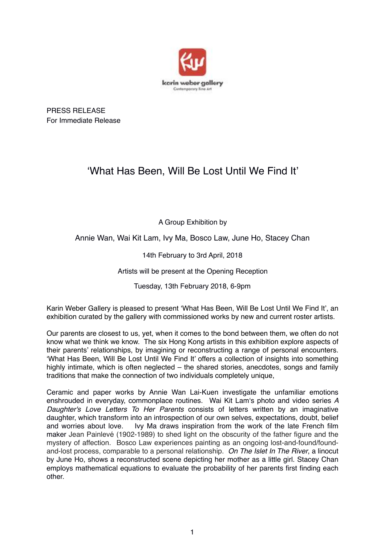

PRESS RELEASE For Immediate Release

## 'What Has Been, Will Be Lost Until We Find It'

A Group Exhibition by

Annie Wan, Wai Kit Lam, Ivy Ma, Bosco Law, June Ho, Stacey Chan

14th February to 3rd April, 2018

Artists will be present at the Opening Reception

Tuesday, 13th February 2018, 6-9pm

Karin Weber Gallery is pleased to present 'What Has Been, Will Be Lost Until We Find It', an exhibition curated by the gallery with commissioned works by new and current roster artists.

Our parents are closest to us, yet, when it comes to the bond between them, we often do not know what we think we know. The six Hong Kong artists in this exhibition explore aspects of their parents' relationships, by imagining or reconstructing a range of personal encounters. 'What Has Been, Will Be Lost Until We Find It' offers a collection of insights into something highly intimate, which is often neglected – the shared stories, anecdotes, songs and family traditions that make the connection of two individuals completely unique,

Ceramic and paper works by Annie Wan Lai-Kuen investigate the unfamiliar emotions enshrouded in everyday, commonplace routines. Wai Kit Lam's photo and video series *A Daughter's Love Letters To Her Parents* consists of letters written by an imaginative daughter, which transform into an introspection of our own selves, expectations, doubt, belief and worries about love. Ivy Ma draws inspiration from the work of the late French film maker Jean Painlevé (1902-1989) to shed light on the obscurity of the father figure and the mystery of affection. Bosco Law experiences painting as an ongoing lost-and-found/foundand-lost process, comparable to a personal relationship. *On The Islet In The River*, a linocut by June Ho, shows a reconstructed scene depicting her mother as a little girl. Stacey Chan employs mathematical equations to evaluate the probability of her parents first finding each other.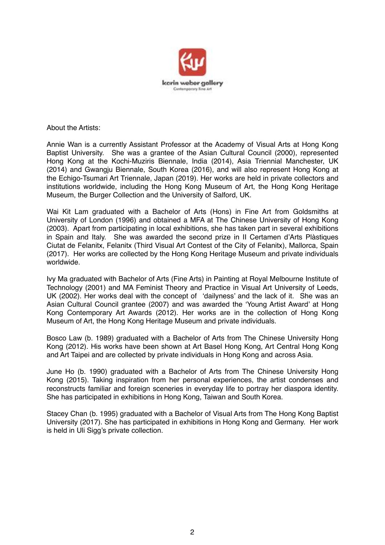

About the Artists:

Annie Wan is a currently Assistant Professor at the Academy of Visual Arts at Hong Kong Baptist University. She was a grantee of the Asian Cultural Council (2000), represented Hong Kong at the Kochi-Muziris Biennale, India (2014), Asia Triennial Manchester, UK (2014) and Gwangju Biennale, South Korea (2016), and will also represent Hong Kong at the Echigo-Tsumari Art Triennale, Japan (2019). Her works are held in private collectors and institutions worldwide, including the Hong Kong Museum of Art, the Hong Kong Heritage Museum, the Burger Collection and the University of Salford, UK.

Wai Kit Lam graduated with a Bachelor of Arts (Hons) in Fine Art from Goldsmiths at University of London (1996) and obtained a MFA at The Chinese University of Hong Kong (2003). Apart from participating in local exhibitions, she has taken part in several exhibitions in Spain and Italy. She was awarded the second prize in II Certamen d'Arts Plàstiques Ciutat de Felanitx, Felanitx (Third Visual Art Contest of the City of Felanitx), Mallorca, Spain (2017). Her works are collected by the Hong Kong Heritage Museum and private individuals worldwide.

Ivy Ma graduated with Bachelor of Arts (Fine Arts) in Painting at Royal Melbourne Institute of Technology (2001) and MA Feminist Theory and Practice in Visual Art University of Leeds, UK (2002). Her works deal with the concept of 'dailyness' and the lack of it. She was an Asian Cultural Council grantee (2007) and was awarded the 'Young Artist Award' at Hong Kong Contemporary Art Awards (2012). Her works are in the collection of Hong Kong Museum of Art, the Hong Kong Heritage Museum and private individuals.

Bosco Law (b. 1989) graduated with a Bachelor of Arts from The Chinese University Hong Kong (2012). His works have been shown at Art Basel Hong Kong, Art Central Hong Kong and Art Taipei and are collected by private individuals in Hong Kong and across Asia.

June Ho (b. 1990) graduated with a Bachelor of Arts from The Chinese University Hong Kong (2015). Taking inspiration from her personal experiences, the artist condenses and reconstructs familiar and foreign sceneries in everyday life to portray her diaspora identity. She has participated in exhibitions in Hong Kong, Taiwan and South Korea.

Stacey Chan (b. 1995) graduated with a Bachelor of Visual Arts from The Hong Kong Baptist University (2017). She has participated in exhibitions in Hong Kong and Germany. Her work is held in Uli Sigg's private collection.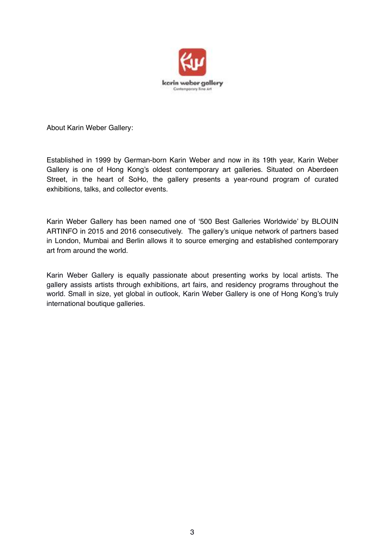

About Karin Weber Gallery:

Established in 1999 by German-born Karin Weber and now in its 19th year, Karin Weber Gallery is one of Hong Kong's oldest contemporary art galleries. Situated on Aberdeen Street, in the heart of SoHo, the gallery presents a year-round program of curated exhibitions, talks, and collector events.

Karin Weber Gallery has been named one of '500 Best Galleries Worldwide' by BLOUIN ARTINFO in 2015 and 2016 consecutively. The gallery's unique network of partners based in London, Mumbai and Berlin allows it to source emerging and established contemporary art from around the world.

Karin Weber Gallery is equally passionate about presenting works by local artists. The gallery assists artists through exhibitions, art fairs, and residency programs throughout the world. Small in size, yet global in outlook, Karin Weber Gallery is one of Hong Kong's truly international boutique galleries.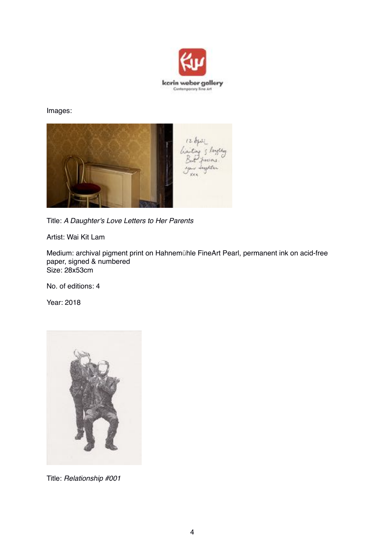

Images:



Title: *A Daughter's Love Letters to Her Parents*

Artist: Wai Kit Lam

Medium: archival pigment print on Hahnemühle FineArt Pearl, permanent ink on acid-free paper, signed & numbered Size: 28x53cm

No. of editions: 4

Year: 2018



Title: *Relationship #001*